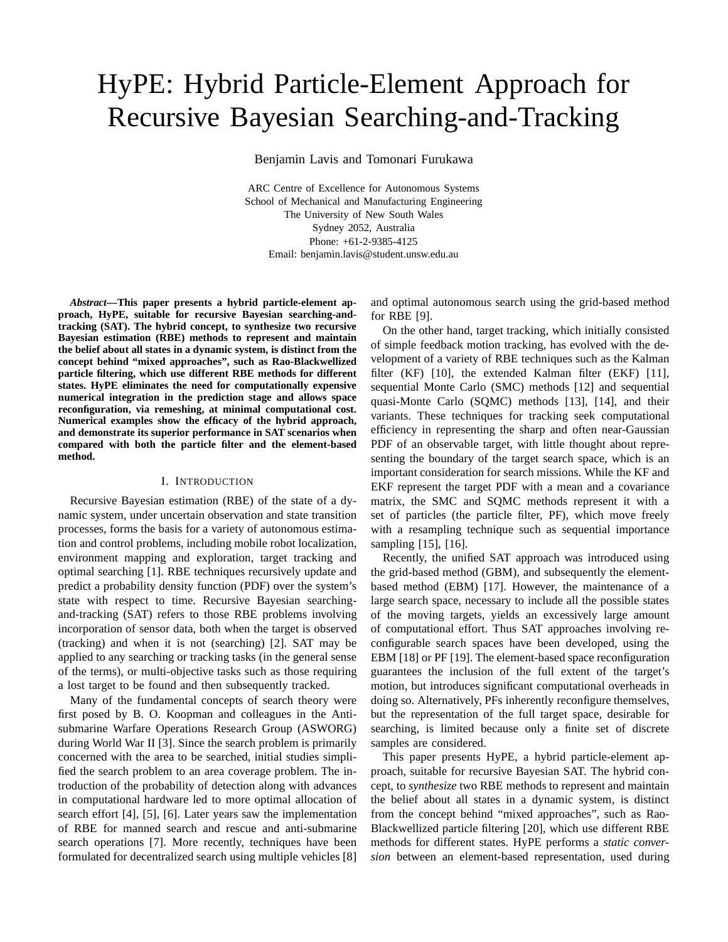# HyPE: Hybrid Particle-Element Approach for Recursive Bayesian Searching-and-Tracking

Benjamin Lavis and Tomonari Furukawa

ARC Centre of Excellence for Autonomous Systems School of Mechanical and Manufacturing Engineering The University of New South Wales Sydney 2052, Australia Phone: +61-2-9385-4125 Email: benjamin.lavis@student.unsw.edu.au

*Abstract***—This paper presents a hybrid particle-element approach, HyPE, suitable for recursive Bayesian searching-andtracking (SAT). The hybrid concept, to synthesize two recursive Bayesian estimation (RBE) methods to represent and maintain the belief about all states in a dynamic system, is distinct from the concept behind "mixed approaches", such as Rao-Blackwellized particle filtering, which use different RBE methods for different states. HyPE eliminates the need for computationally expensive numerical integration in the prediction stage and allows space reconfiguration, via remeshing, at minimal computational cost. Numerical examples show the efficacy of the hybrid approach, and demonstrate its superior performance in SAT scenarios when compared with both the particle filter and the element-based method.**

#### I. INTRODUCTION

Recursive Bayesian estimation (RBE) of the state of a dynamic system, under uncertain observation and state transition processes, forms the basis for a variety of autonomous estimation and control problems, including mobile robot localization, environment mapping and exploration, target tracking and optimal searching [1]. RBE techniques recursively update and predict a probability density function (PDF) over the system's state with respect to time. Recursive Bayesian searchingand-tracking (SAT) refers to those RBE problems involving incorporation of sensor data, both when the target is observed (tracking) and when it is not (searching) [2]. SAT may be applied to any searching or tracking tasks (in the general sense of the terms), or multi-objective tasks such as those requiring a lost target to be found and then subsequently tracked.

Many of the fundamental concepts of search theory were first posed by B. O. Koopman and colleagues in the Antisubmarine Warfare Operations Research Group (ASWORG) during World War II [3]. Since the search problem is primarily concerned with the area to be searched, initial studies simplified the search problem to an area coverage problem. The introduction of the probability of detection along with advances in computational hardware led to more optimal allocation of search effort [4], [5], [6]. Later years saw the implementation of RBE for manned search and rescue and anti-submarine search operations [7]. More recently, techniques have been formulated for decentralized search using multiple vehicles [8]

and optimal autonomous search using the grid-based method for RBE [9].

On the other hand, target tracking, which initially consisted of simple feedback motion tracking, has evolved with the development of a variety of RBE techniques such as the Kalman filter (KF) [10], the extended Kalman filter (EKF) [11], sequential Monte Carlo (SMC) methods [12] and sequential quasi-Monte Carlo (SQMC) methods [13], [14], and their variants. These techniques for tracking seek computational efficiency in representing the sharp and often near-Gaussian PDF of an observable target, with little thought about representing the boundary of the target search space, which is an important consideration for search missions. While the KF and EKF represent the target PDF with a mean and a covariance matrix, the SMC and SQMC methods represent it with a set of particles (the particle filter, PF), which move freely with a resampling technique such as sequential importance sampling [15], [16].

Recently, the unified SAT approach was introduced using the grid-based method (GBM), and subsequently the elementbased method (EBM) [17]. However, the maintenance of a large search space, necessary to include all the possible states of the moving targets, yields an excessively large amount of computational effort. Thus SAT approaches involving reconfigurable search spaces have been developed, using the EBM [18] or PF [19]. The element-based space reconfiguration guarantees the inclusion of the full extent of the target's motion, but introduces significant computational overheads in doing so. Alternatively, PFs inherently reconfigure themselves, but the representation of the full target space, desirable for searching, is limited because only a finite set of discrete samples are considered.

This paper presents HyPE, a hybrid particle-element approach, suitable for recursive Bayesian SAT. The hybrid concept, to *synthesize* two RBE methods to represent and maintain the belief about all states in a dynamic system, is distinct from the concept behind "mixed approaches", such as Rao-Blackwellized particle filtering [20], which use different RBE methods for different states. HyPE performs a *static conversion* between an element-based representation, used during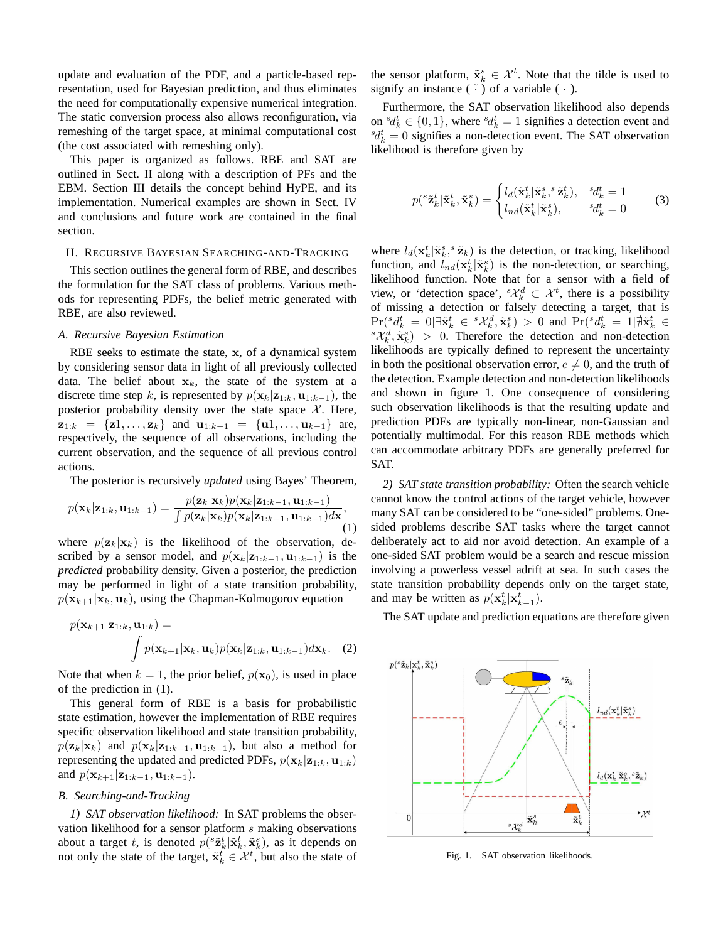update and evaluation of the PDF, and a particle-based representation, used for Bayesian prediction, and thus eliminates the need for computationally expensive numerical integration. The static conversion process also allows reconfiguration, via remeshing of the target space, at minimal computational cost (the cost associated with remeshing only).

This paper is organized as follows. RBE and SAT are outlined in Sect. II along with a description of PFs and the EBM. Section III details the concept behind HyPE, and its implementation. Numerical examples are shown in Sect. IV and conclusions and future work are contained in the final section.

## II. RECURSIVE BAYESIAN SEARCHING-AND-TRACKING

This section outlines the general form of RBE, and describes the formulation for the SAT class of problems. Various methods for representing PDFs, the belief metric generated with RBE, are also reviewed.

## *A. Recursive Bayesian Estimation*

RBE seeks to estimate the state, x, of a dynamical system by considering sensor data in light of all previously collected data. The belief about  $x_k$ , the state of the system at a discrete time step k, is represented by  $p(\mathbf{x}_k|\mathbf{z}_{1:k}, \mathbf{u}_{1:k-1})$ , the posterior probability density over the state space  $X$ . Here,  $z_{1:k} = \{z1, \ldots, z_k\}$  and  $u_{1:k-1} = \{u1, \ldots, u_{k-1}\}$  are, respectively, the sequence of all observations, including the current observation, and the sequence of all previous control actions.

The posterior is recursively *updated* using Bayes' Theorem,

$$
p(\mathbf{x}_k|\mathbf{z}_{1:k},\mathbf{u}_{1:k-1}) = \frac{p(\mathbf{z}_k|\mathbf{x}_k)p(\mathbf{x}_k|\mathbf{z}_{1:k-1},\mathbf{u}_{1:k-1})}{\int p(\mathbf{z}_k|\mathbf{x}_k)p(\mathbf{x}_k|\mathbf{z}_{1:k-1},\mathbf{u}_{1:k-1})d\mathbf{x}},\tag{1}
$$

where  $p(\mathbf{z}_k|\mathbf{x}_k)$  is the likelihood of the observation, described by a sensor model, and  $p(\mathbf{x}_k|\mathbf{z}_{1:k-1}, \mathbf{u}_{1:k-1})$  is the *predicted* probability density. Given a posterior, the prediction may be performed in light of a state transition probability,  $p(\mathbf{x}_{k+1}|\mathbf{x}_k,\mathbf{u}_k)$ , using the Chapman-Kolmogorov equation

$$
p(\mathbf{x}_{k+1}|\mathbf{z}_{1:k}, \mathbf{u}_{1:k}) = \int p(\mathbf{x}_{k+1}|\mathbf{x}_k, \mathbf{u}_k) p(\mathbf{x}_k|\mathbf{z}_{1:k}, \mathbf{u}_{1:k-1}) d\mathbf{x}_k.
$$
 (2)

Note that when  $k = 1$ , the prior belief,  $p(\mathbf{x}_0)$ , is used in place of the prediction in (1).

This general form of RBE is a basis for probabilistic state estimation, however the implementation of RBE requires specific observation likelihood and state transition probability,  $p(\mathbf{z}_k|\mathbf{x}_k)$  and  $p(\mathbf{x}_k|\mathbf{z}_{1:k-1}, \mathbf{u}_{1:k-1})$ , but also a method for representing the updated and predicted PDFs,  $p(\mathbf{x}_k|\mathbf{z}_{1:k}, \mathbf{u}_{1:k})$ and  $p(\mathbf{x}_{k+1}|\mathbf{z}_{1:k-1}, \mathbf{u}_{1:k-1}).$ 

# *B. Searching-and-Tracking*

*1) SAT observation likelihood:* In SAT problems the observation likelihood for a sensor platform s making observations about a target t, is denoted  $p(^s\tilde{\mathbf{z}}_k^t | \tilde{\mathbf{x}}_k^t, \tilde{\mathbf{x}}_k^s)$ , as it depends on not only the state of the target,  $\tilde{\mathbf{x}}_k^t \in \mathcal{X}^t$ , but also the state of

the sensor platform,  $\tilde{\mathbf{x}}_k^s \in \mathcal{X}^t$ . Note that the tilde is used to signify an instance  $(\tilde{\cdot})$  of a variable  $(\cdot)$ .

Furthermore, the SAT observation likelihood also depends on  ${}^{s}d_{k}^{t} \in \{0,1\}$ , where  ${}^{s}d_{k}^{t} = 1$  signifies a detection event and  ${}^{s}d_{k}^{t} = 0$  signifies a non-detection event. The SAT observation likelihood is therefore given by

$$
p({}^s\tilde{\mathbf{z}}_k^t|\tilde{\mathbf{x}}_k^t,\tilde{\mathbf{x}}_k^s) = \begin{cases} l_d(\tilde{\mathbf{x}}_k^t|\tilde{\mathbf{x}}_k^s, {}^s\tilde{\mathbf{z}}_k^t), & {}^s d_k^t = 1\\ l_{nd}(\tilde{\mathbf{x}}_k^t|\tilde{\mathbf{x}}_k^s), & {}^s d_k^t = 0 \end{cases} \tag{3}
$$

where  $l_d(\mathbf{x}_k^t | \tilde{\mathbf{x}}_k^s, s \tilde{\mathbf{z}}_k)$  is the detection, or tracking, likelihood function, and  $l_{nd}(\mathbf{x}_k^t | \tilde{\mathbf{x}}_k^s)$  is the non-detection, or searching, likelihood function. Note that for a sensor with a field of view, or 'detection space',  ${}^s\mathcal{X}^d_k \subset \mathcal{X}^t$ , there is a possibility of missing a detection or falsely detecting a target, that is  $\Pr({}^sd_k^t\ =\ 0|\exists\tilde{\textbf{x}}^t_k\ \in\ {}^s\mathcal{X}_k^d,\tilde{\textbf{x}}^s_k)\ >\ 0$  and  $\Pr({}^sd_k^t\ =\ 1|\nexists\tilde{\textbf{x}}^t_k\ \in$  ${}^s\mathcal{X}_k^d$ ,  $\tilde{\mathbf{x}}_k^s$  > 0. Therefore the detection and non-detection likelihoods are typically defined to represent the uncertainty in both the positional observation error,  $e \neq 0$ , and the truth of the detection. Example detection and non-detection likelihoods and shown in figure 1. One consequence of considering such observation likelihoods is that the resulting update and prediction PDFs are typically non-linear, non-Gaussian and potentially multimodal. For this reason RBE methods which can accommodate arbitrary PDFs are generally preferred for SAT.

*2) SAT state transition probability:* Often the search vehicle cannot know the control actions of the target vehicle, however many SAT can be considered to be "one-sided" problems. Onesided problems describe SAT tasks where the target cannot deliberately act to aid nor avoid detection. An example of a one-sided SAT problem would be a search and rescue mission involving a powerless vessel adrift at sea. In such cases the state transition probability depends only on the target state, and may be written as  $p(\mathbf{x}_k^t | \mathbf{x}_{k-1}^t)$ .

The SAT update and prediction equations are therefore given



Fig. 1. SAT observation likelihoods.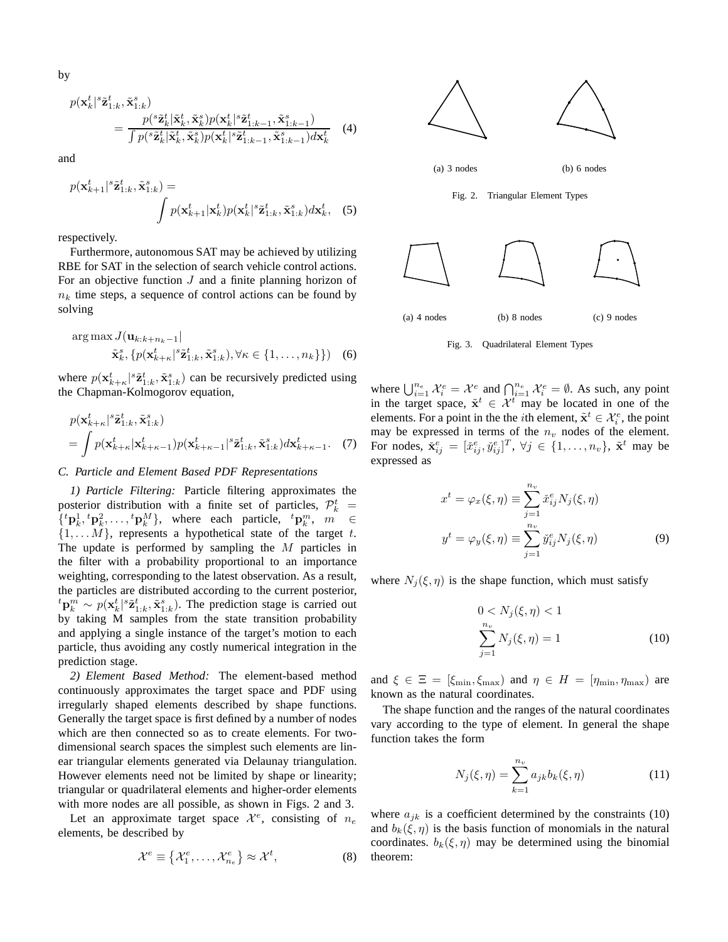by

$$
p(\mathbf{x}_{k}^{t} | \tilde{\mathbf{z}}_{1:k}^{t}, \tilde{\mathbf{x}}_{1:k}^{s}) = \frac{p({}^s \tilde{\mathbf{z}}_k^t | \tilde{\mathbf{x}}_k^t, \tilde{\mathbf{x}}_k^s)p(\mathbf{x}_k^t | \tilde{\mathbf{z}}_{1:k-1}^t, \tilde{\mathbf{x}}_{1:k-1}^s)}{\int p({}^s \tilde{\mathbf{z}}_k^t | \tilde{\mathbf{x}}_k^t, \tilde{\mathbf{x}}_k^s)p(\mathbf{x}_k^t | \tilde{\mathbf{z}}_{1:k-1}^t, \tilde{\mathbf{x}}_{1:k-1}^s)d\mathbf{x}_k^t}
$$
 (4)

and

$$
p(\mathbf{x}_{k+1}^t | ^s \tilde{\mathbf{z}}_{1:k}^t, \tilde{\mathbf{x}}_{1:k}^s) = \int p(\mathbf{x}_{k+1}^t | \mathbf{x}_k^t) p(\mathbf{x}_k^t | ^s \tilde{\mathbf{z}}_{1:k}^t, \tilde{\mathbf{x}}_{1:k}^s) d\mathbf{x}_k^t, (5)
$$

respectively.

Furthermore, autonomous SAT may be achieved by utilizing RBE for SAT in the selection of search vehicle control actions. For an objective function  $J$  and a finite planning horizon of  $n_k$  time steps, a sequence of control actions can be found by solving

$$
\arg\max_{\tilde{\mathbf{x}}_k^s, \{p(\mathbf{x}_{k+k}^t \mid s \tilde{\mathbf{z}}_{1:k}^t, \tilde{\mathbf{x}}_{1:k}^s), \forall \kappa \in \{1, \dots, n_k\}\}) \quad (6)
$$

where  $p(\mathbf{x}_{k+\kappa}^t | s \tilde{\mathbf{z}}_{1:k}^t, \tilde{\mathbf{x}}_{1:k}^s)$  can be recursively predicted using the Chapman-Kolmogorov equation,

$$
p(\mathbf{x}_{k+\kappa}^t | \tilde{\mathbf{z}}_{1:k}^t, \tilde{\mathbf{x}}_{1:k}^s)
$$
  
= 
$$
\int p(\mathbf{x}_{k+\kappa}^t | \mathbf{x}_{k+\kappa-1}^t) p(\mathbf{x}_{k+\kappa-1}^t | \tilde{\mathbf{z}}_{1:k}^t, \tilde{\mathbf{x}}_{1:k}^s) d\mathbf{x}_{k+\kappa-1}^t.
$$
 (7)

# *C. Particle and Element Based PDF Representations*

*1) Particle Filtering:* Particle filtering approximates the posterior distribution with a finite set of particles,  $\mathcal{P}_k^t$  =  $\{ {}^t\mathbf{p}_k^1, {}^t\mathbf{p}_k^2, \ldots, {}^t\mathbf{p}_k^M \}$ , where each particle,  ${}^t\mathbf{p}_k^m$ ,  $m \in$  $\{1, \ldots M\}$ , represents a hypothetical state of the target t. The update is performed by sampling the  $M$  particles in the filter with a probability proportional to an importance weighting, corresponding to the latest observation. As a result, the particles are distributed according to the current posterior,  ${}^t{\bf p}_k^m \sim p({\bf x}_k^t | {}^s{\bf \tilde z}_{1:k}^t, {\tilde {\bf x}_{1:k}^s}).$  The prediction stage is carried out by taking M samples from the state transition probability and applying a single instance of the target's motion to each particle, thus avoiding any costly numerical integration in the prediction stage.

*2) Element Based Method:* The element-based method continuously approximates the target space and PDF using irregularly shaped elements described by shape functions. Generally the target space is first defined by a number of nodes which are then connected so as to create elements. For twodimensional search spaces the simplest such elements are linear triangular elements generated via Delaunay triangulation. However elements need not be limited by shape or linearity; triangular or quadrilateral elements and higher-order elements with more nodes are all possible, as shown in Figs. 2 and 3.

Let an approximate target space  $\mathcal{X}^e$ , consisting of  $n_e$ elements, be described by

$$
\mathcal{X}^e \equiv \left\{ \mathcal{X}_1^e, \dots, \mathcal{X}_{n_e}^e \right\} \approx \mathcal{X}^t, \tag{8}
$$



Fig. 3. Quadrilateral Element Types

where  $\bigcup_{i=1}^{n_e} \mathcal{X}_i^e = \mathcal{X}^e$  and  $\bigcap_{i=1}^{n_e} \mathcal{X}_i^e = \emptyset$ . As such, any point in the target space,  $\tilde{x}^t \in \mathcal{X}^t$  may be located in one of the elements. For a point in the the *i*th element,  $\tilde{\mathbf{x}}^t \in \mathcal{X}_i^e$ , the point may be expressed in terms of the  $n_v$  nodes of the element. For nodes,  $\check{\mathbf{x}}_{ij}^e = [\check{x}_{ij}^e, \check{y}_{ij}^e]^T$ ,  $\forall j \in \{1, \dots, n_v\}$ ,  $\tilde{\mathbf{x}}^t$  may be expressed as

$$
x^{t} = \varphi_{x}(\xi, \eta) \equiv \sum_{j=1}^{n_{v}} \tilde{x}_{ij}^{e} N_{j}(\xi, \eta)
$$

$$
y^{t} = \varphi_{y}(\xi, \eta) \equiv \sum_{j=1}^{n_{v}} \tilde{y}_{ij}^{e} N_{j}(\xi, \eta)
$$
(9)

where  $N_i(\xi, \eta)$  is the shape function, which must satisfy

$$
0 < N_j(\xi, \eta) < 1
$$
\n
$$
\sum_{j=1}^{n_v} N_j(\xi, \eta) = 1
$$
\n(10)

and  $\xi \in \Xi = [\xi_{\min}, \xi_{\max})$  and  $\eta \in H = [\eta_{\min}, \eta_{\max})$  are known as the natural coordinates.

The shape function and the ranges of the natural coordinates vary according to the type of element. In general the shape function takes the form

$$
N_j(\xi, \eta) = \sum_{k=1}^{n_v} a_{jk} b_k(\xi, \eta)
$$
 (11)

where  $a_{jk}$  is a coefficient determined by the constraints (10) and  $b_k(\xi, \eta)$  is the basis function of monomials in the natural coordinates.  $b_k(\xi, \eta)$  may be determined using the binomial theorem: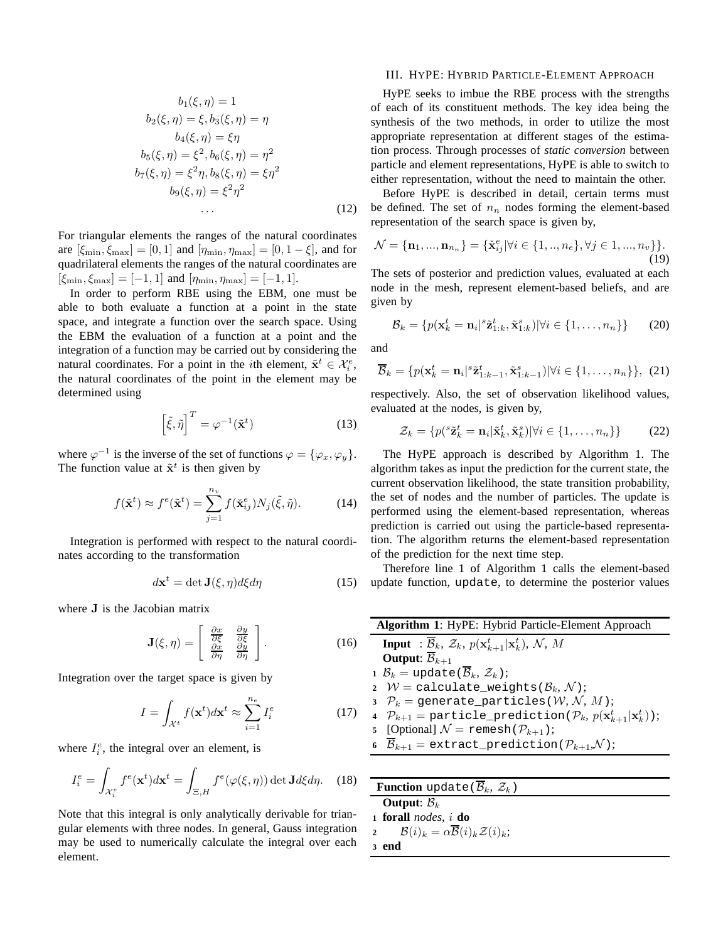$$
b_1(\xi, \eta) = 1
$$
  
\n
$$
b_2(\xi, \eta) = \xi, b_3(\xi, \eta) = \eta
$$
  
\n
$$
b_4(\xi, \eta) = \xi \eta
$$
  
\n
$$
b_5(\xi, \eta) = \xi^2, b_6(\xi, \eta) = \eta^2
$$
  
\n
$$
b_7(\xi, \eta) = \xi^2 \eta, b_8(\xi, \eta) = \xi \eta^2
$$
  
\n
$$
b_9(\xi, \eta) = \xi^2 \eta^2
$$
  
\n(12)

For triangular elements the ranges of the natural coordinates are  $[\xi_{\min}, \xi_{\max}] = [0, 1]$  and  $[\eta_{\min}, \eta_{\max}] = [0, 1 - \xi]$ , and for quadrilateral elements the ranges of the natural coordinates are  $[\xi_{\min}, \xi_{\max}] = [-1, 1]$  and  $[\eta_{\min}, \eta_{\max}] = [-1, 1]$ .

In order to perform RBE using the EBM, one must be able to both evaluate a function at a point in the state space, and integrate a function over the search space. Using the EBM the evaluation of a function at a point and the integration of a function may be carried out by considering the natural coordinates. For a point in the *i*th element,  $\tilde{\mathbf{x}}^t \in \mathcal{X}_i^e$ , the natural coordinates of the point in the element may be determined using

$$
\left[\tilde{\xi}, \tilde{\eta}\right]^T = \varphi^{-1}(\tilde{\mathbf{x}}^t)
$$
\n(13)

where  $\varphi^{-1}$  is the inverse of the set of functions  $\varphi = {\varphi_x, \varphi_y}.$ The function value at  $\tilde{\mathbf{x}}^t$  is then given by

$$
f(\tilde{\mathbf{x}}^t) \approx f^e(\tilde{\mathbf{x}}^t) = \sum_{j=1}^{n_v} f(\tilde{\mathbf{x}}_{ij}^e) N_j(\tilde{\xi}, \tilde{\eta}).
$$
 (14)

Integration is performed with respect to the natural coordinates according to the transformation

$$
d\mathbf{x}^t = \det \mathbf{J}(\xi, \eta) d\xi d\eta \tag{15}
$$

where J is the Jacobian matrix

$$
\mathbf{J}(\xi,\eta) = \begin{bmatrix} \frac{\partial x}{\partial \xi} & \frac{\partial y}{\partial \xi} \\ \frac{\partial x}{\partial \eta} & \frac{\partial y}{\partial \eta} \end{bmatrix}.
$$
 (16)

Integration over the target space is given by

$$
I = \int_{\mathcal{X}^t} f(\mathbf{x}^t) d\mathbf{x}^t \approx \sum_{i=1}^{n_e} I_i^e \tag{17}
$$

where  $I_i^e$ , the integral over an element, is

$$
I_i^e = \int_{\mathcal{X}_i^e} f^e(\mathbf{x}^t) d\mathbf{x}^t = \int_{\Xi, H} f^e(\varphi(\xi, \eta)) \det \mathbf{J} d\xi d\eta.
$$
 (18)

Note that this integral is only analytically derivable for triangular elements with three nodes. In general, Gauss integration may be used to numerically calculate the integral over each element.

#### III. HYPE: HYBRID PARTICLE-ELEMENT APPROACH

HyPE seeks to imbue the RBE process with the strengths of each of its constituent methods. The key idea being the synthesis of the two methods, in order to utilize the most appropriate representation at different stages of the estimation process. Through processes of *static conversion* between particle and element representations, HyPE is able to switch to either representation, without the need to maintain the other.

Before HyPE is described in detail, certain terms must be defined. The set of  $n_n$  nodes forming the element-based representation of the search space is given by,

$$
\mathcal{N} = {\mathbf{n}_1, ..., \mathbf{n}_{n_n}} = {\mathbf{\check{x}}_{ij}^e | \forall i \in \{1, ..., n_e\}, \forall j \in 1, ..., n_v\}}.
$$
\n(19)

The sets of posterior and prediction values, evaluated at each node in the mesh, represent element-based beliefs, and are given by

$$
\mathcal{B}_k = \{p(\mathbf{x}_k^t = \mathbf{n}_i | ^s \tilde{\mathbf{z}}_{1:k}^t, \tilde{\mathbf{x}}_{1:k}^s) | \forall i \in \{1, \dots, n_n\}\}\
$$
(20)

and

$$
\overline{\mathcal{B}}_k = \{p(\mathbf{x}_k^t = \mathbf{n}_i | \mathbf{s}_{\mathbf{Z}_{1:k-1}^t}, \tilde{\mathbf{x}}_{1:k-1}^s) | \forall i \in \{1, \dots, n_n\}\},\tag{21}
$$

respectively. Also, the set of observation likelihood values, evaluated at the nodes, is given by,

$$
\mathcal{Z}_k = \{ p({}^s \tilde{\mathbf{z}}_k^t = \mathbf{n}_i | \tilde{\mathbf{x}}_k^t, \tilde{\mathbf{x}}_k^s) | \forall i \in \{1, \dots, n_n\} \}
$$
(22)

The HyPE approach is described by Algorithm 1. The algorithm takes as input the prediction for the current state, the current observation likelihood, the state transition probability, the set of nodes and the number of particles. The update is performed using the element-based representation, whereas prediction is carried out using the particle-based representation. The algorithm returns the element-based representation of the prediction for the next time step.

Therefore line 1 of Algorithm 1 calls the element-based update function, update, to determine the posterior values

| Algorithm 1: HyPE: Hybrid Particle-Element Approach                                                           |  |  |  |  |
|---------------------------------------------------------------------------------------------------------------|--|--|--|--|
| <b>Input</b> : $\overline{\mathcal{B}}_k$ , $\mathcal{Z}_k$ , $p(\mathbf{x}_{k+1}^t   \mathbf{x}_k^t)$ , N, M |  |  |  |  |
| <b>Output:</b> $\overline{\mathcal{B}}_{k+1}$                                                                 |  |  |  |  |
| 1 $\mathcal{B}_k$ = update( $\overline{\mathcal{B}}_k$ , $\mathcal{Z}_k$ );                                   |  |  |  |  |
| 2 $W =$ calculate_weights $(\mathcal{B}_k, \mathcal{N})$ ;                                                    |  |  |  |  |
| 3 $\mathcal{P}_k$ = generate_particles( <i>W</i> , <i>N</i> , <i>M</i> );                                     |  |  |  |  |
| 4 $\mathcal{P}_{k+1}$ = particle_prediction( $\mathcal{P}_k$ , $p(\mathbf{x}_{k+1}^t \mathbf{x}_k^t)$ );      |  |  |  |  |
| 5 [Optional] $\mathcal{N} = \text{remesh}(\mathcal{P}_{k+1});$                                                |  |  |  |  |
| 6 $\overline{\mathcal{B}}_{k+1}$ = extract_prediction( $\mathcal{P}_{k+1}$ , $\mathcal{N}$ );                 |  |  |  |  |
|                                                                                                               |  |  |  |  |
|                                                                                                               |  |  |  |  |

| <b>Function</b> update ( $\overline{\mathcal{B}}_k$ , $\mathcal{Z}_k$ )   |  |
|---------------------------------------------------------------------------|--|
| <b>Output:</b> $\mathcal{B}_k$                                            |  |
| 1 forall <i>nodes</i> , $i$ do                                            |  |
| $\mathcal{B}(i)_k = \alpha \overline{\mathcal{B}}(i)_k \mathcal{Z}(i)_k;$ |  |
| 3 end                                                                     |  |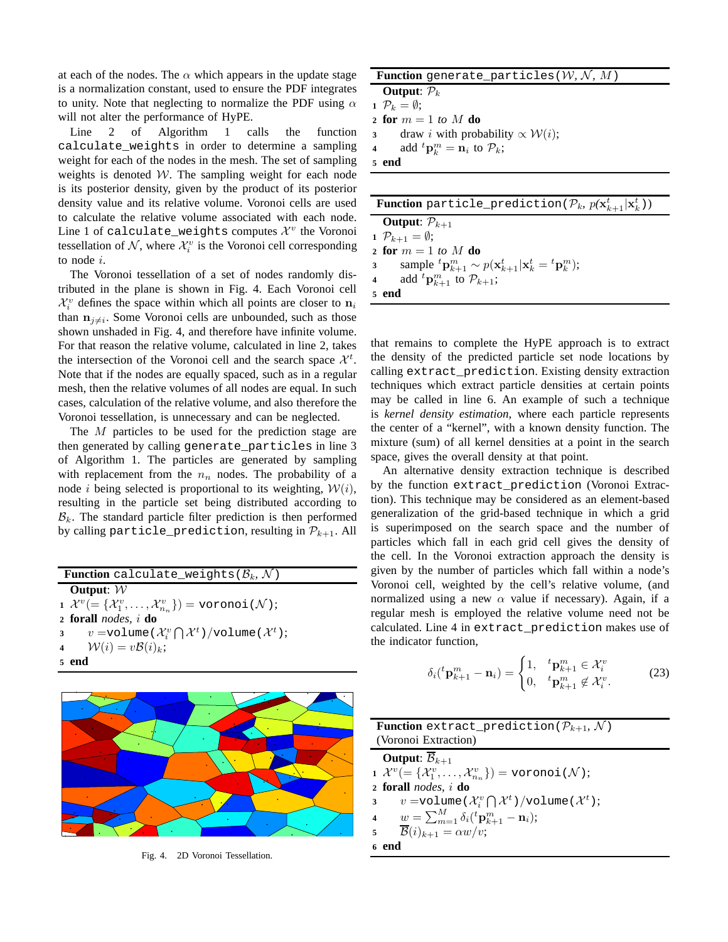at each of the nodes. The  $\alpha$  which appears in the update stage is a normalization constant, used to ensure the PDF integrates to unity. Note that neglecting to normalize the PDF using  $\alpha$ will not alter the performance of HyPE.

Line 2 of Algorithm 1 calls the function calculate\_weights in order to determine a sampling weight for each of the nodes in the mesh. The set of sampling weights is denoted  $W$ . The sampling weight for each node is its posterior density, given by the product of its posterior density value and its relative volume. Voronoi cells are used to calculate the relative volume associated with each node. Line 1 of calculate\_weights computes  $\mathcal{X}^v$  the Voronoi tessellation of  $N$ , where  $\mathcal{X}_i^v$  is the Voronoi cell corresponding to node i.

The Voronoi tessellation of a set of nodes randomly distributed in the plane is shown in Fig. 4. Each Voronoi cell  $\mathcal{X}_i^v$  defines the space within which all points are closer to  $\mathbf{n}_i$ than  $n_{j\neq i}$ . Some Voronoi cells are unbounded, such as those shown unshaded in Fig. 4, and therefore have infinite volume. For that reason the relative volume, calculated in line 2, takes the intersection of the Voronoi cell and the search space  $\mathcal{X}^{t}$ . Note that if the nodes are equally spaced, such as in a regular mesh, then the relative volumes of all nodes are equal. In such cases, calculation of the relative volume, and also therefore the Voronoi tessellation, is unnecessary and can be neglected.

The M particles to be used for the prediction stage are then generated by calling generate\_particles in line 3 of Algorithm 1. The particles are generated by sampling with replacement from the  $n_n$  nodes. The probability of a node *i* being selected is proportional to its weighting,  $W(i)$ , resulting in the particle set being distributed according to  $B_k$ . The standard particle filter prediction is then performed by calling particle\_prediction, resulting in  $\mathcal{P}_{k+1}$ . All

|        | <b>Function</b> calculate_weights ( $\mathcal{B}_k$ , N)                                        |  |  |  |
|--------|-------------------------------------------------------------------------------------------------|--|--|--|
|        | Output: $W$                                                                                     |  |  |  |
|        | $\mathcal{X}^v = \{\mathcal{X}^v_1, \ldots, \mathcal{X}^v_{n_v}\}\$ = voronoi $(\mathcal{N})$ ; |  |  |  |
|        | $2$ forall <i>nodes</i> , $i$ do                                                                |  |  |  |
|        | 3 v = volume $(\mathcal{X}_i^v \bigcap \mathcal{X}^t)$ / volume $(\mathcal{X}^t)$ ;             |  |  |  |
|        | 4 $\mathcal{W}(i) = v\mathcal{B}(i)_k;$                                                         |  |  |  |
| $\sim$ | end                                                                                             |  |  |  |



Fig. 4. 2D Voronoi Tessellation.

| <b>Function</b> generate_particles ( $W, N, M$ )                                        |  |  |  |
|-----------------------------------------------------------------------------------------|--|--|--|
| <b>Output:</b> $P_k$                                                                    |  |  |  |
| 1 $\mathcal{P}_k = \emptyset$ :                                                         |  |  |  |
| 2 for $m = 1$ to M do                                                                   |  |  |  |
| draw <i>i</i> with probability $\propto W(i)$ ;<br>$3^{\circ}$                          |  |  |  |
| add ${}^t\mathbf{p}_k^m = \mathbf{n}_i$ to $\mathcal{P}_k$ ;<br>$\overline{\mathbf{4}}$ |  |  |  |
| 5 end                                                                                   |  |  |  |
|                                                                                         |  |  |  |
|                                                                                         |  |  |  |

| <b>Function</b> particle_prediction( $\mathcal{P}_k$ , $p(\mathbf{x}_{k+1}^t \mathbf{x}_k^t)$ ) |                                                                                       |  |  |  |
|-------------------------------------------------------------------------------------------------|---------------------------------------------------------------------------------------|--|--|--|
|                                                                                                 | <b>Output:</b> $\mathcal{P}_{k+1}$                                                    |  |  |  |
|                                                                                                 | 1 $\mathcal{P}_{k+1} = \emptyset$ ;                                                   |  |  |  |
|                                                                                                 | 2 for $m = 1$ to M do                                                                 |  |  |  |
|                                                                                                 | 3 sample ${}^t{\bf p}^m_{k+1} \sim p({\bf x}^t_{k+1} {\bf x}^t_k = {}^t{\bf p}^m_k);$ |  |  |  |
|                                                                                                 | 4 add ${}^t\mathbf{p}_{k+1}^m$ to $\mathcal{P}_{k+1}$ ;                               |  |  |  |
|                                                                                                 | 5 end                                                                                 |  |  |  |

that remains to complete the HyPE approach is to extract the density of the predicted particle set node locations by calling extract\_prediction. Existing density extraction techniques which extract particle densities at certain points may be called in line 6. An example of such a technique is *kernel density estimation*, where each particle represents the center of a "kernel", with a known density function. The mixture (sum) of all kernel densities at a point in the search space, gives the overall density at that point.

An alternative density extraction technique is described by the function extract\_prediction (Voronoi Extraction). This technique may be considered as an element-based generalization of the grid-based technique in which a grid is superimposed on the search space and the number of particles which fall in each grid cell gives the density of the cell. In the Voronoi extraction approach the density is given by the number of particles which fall within a node's Voronoi cell, weighted by the cell's relative volume, (and normalized using a new  $\alpha$  value if necessary). Again, if a regular mesh is employed the relative volume need not be calculated. Line 4 in extract\_prediction makes use of the indicator function,

$$
\delta_i({}^t\mathbf{p}_{k+1}^m - \mathbf{n}_i) = \begin{cases} 1, & {}^t\mathbf{p}_{k+1}^m \in \mathcal{X}_i^v \\ 0, & {}^t\mathbf{p}_{k+1}^m \notin \mathcal{X}_i^v. \end{cases}
$$
 (23)

| <b>Function</b> extract_prediction( $\mathcal{P}_{k+1}$ , N)                        |  |  |  |
|-------------------------------------------------------------------------------------|--|--|--|
| (Voronoi Extraction)                                                                |  |  |  |
| <b>Output:</b> $\overline{\mathcal{B}}_{k+1}$                                       |  |  |  |
| 1 $\mathcal{X}^v$ (= { $\mathcal{X}_1^v$ , , $\mathcal{X}_{n_v}^v$ }) = voronoi(N); |  |  |  |
| 2 forall <i>nodes</i> , $i$ do                                                      |  |  |  |
| 3 v = volume $(\mathcal{X}_i^v \bigcap \mathcal{X}^t)$ / volume $(\mathcal{X}^t)$ ; |  |  |  |
| 4 $w = \sum_{m=1}^{M} \delta_i ({}^t \mathbf{p}_{k+1}^m - \mathbf{n}_i);$           |  |  |  |
| 5 $\overline{\mathcal{B}}(i)_{k+1} = \alpha w/v;$                                   |  |  |  |
| 6 end                                                                               |  |  |  |
|                                                                                     |  |  |  |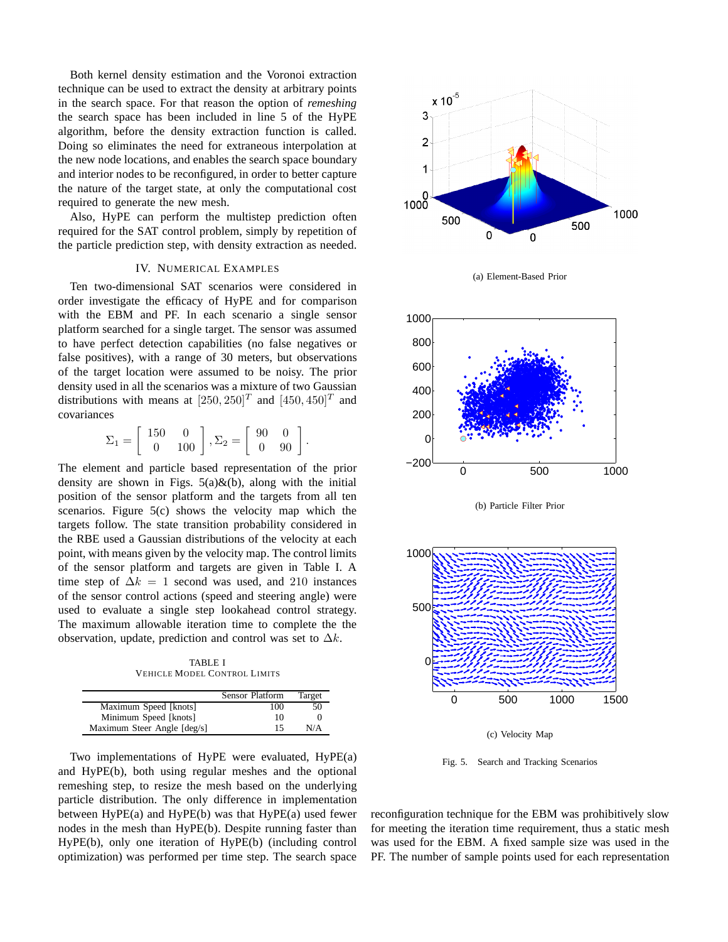Both kernel density estimation and the Voronoi extraction technique can be used to extract the density at arbitrary points in the search space. For that reason the option of *remeshing* the search space has been included in line 5 of the HyPE algorithm, before the density extraction function is called. Doing so eliminates the need for extraneous interpolation at the new node locations, and enables the search space boundary and interior nodes to be reconfigured, in order to better capture the nature of the target state, at only the computational cost required to generate the new mesh.

Also, HyPE can perform the multistep prediction often required for the SAT control problem, simply by repetition of the particle prediction step, with density extraction as needed.

## IV. NUMERICAL EXAMPLES

Ten two-dimensional SAT scenarios were considered in order investigate the efficacy of HyPE and for comparison with the EBM and PF. In each scenario a single sensor platform searched for a single target. The sensor was assumed to have perfect detection capabilities (no false negatives or false positives), with a range of 30 meters, but observations of the target location were assumed to be noisy. The prior density used in all the scenarios was a mixture of two Gaussian distributions with means at  $[250, 250]^T$  and  $[450, 450]^T$  and covariances

 $\Sigma_1 = \left[ \begin{array}{cc} 150 & 0 \ 0 & 100 \end{array} \right], \Sigma_2 = \left[ \begin{array}{cc} 90 & 0 \ 0 & 90 \end{array} \right].$ 

The element and particle based representation of the prior density are shown in Figs.  $5(a) \& (b)$ , along with the initial position of the sensor platform and the targets from all ten scenarios. Figure 5(c) shows the velocity map which the targets follow. The state transition probability considered in the RBE used a Gaussian distributions of the velocity at each point, with means given by the velocity map. The control limits of the sensor platform and targets are given in Table I. A time step of  $\Delta k = 1$  second was used, and 210 instances of the sensor control actions (speed and steering angle) were used to evaluate a single step lookahead control strategy. The maximum allowable iteration time to complete the the observation, update, prediction and control was set to  $\Delta k$ .

TABLE I VEHICLE MODEL CONTROL LIMITS

|                             | Sensor Platform | Target |
|-----------------------------|-----------------|--------|
| Maximum Speed [knots]       | 100             | 50     |
| Minimum Speed [knots]       | 10              |        |
| Maximum Steer Angle [deg/s] | 15              | N/A    |

Two implementations of HyPE were evaluated, HyPE(a) and HyPE(b), both using regular meshes and the optional remeshing step, to resize the mesh based on the underlying particle distribution. The only difference in implementation between  $HyPE(a)$  and  $HyPE(b)$  was that  $HyPE(a)$  used fewer nodes in the mesh than HyPE(b). Despite running faster than HyPE(b), only one iteration of HyPE(b) (including control optimization) was performed per time step. The search space







(b) Particle Filter Prior



(c) Velocity Map

Fig. 5. Search and Tracking Scenarios

reconfiguration technique for the EBM was prohibitively slow for meeting the iteration time requirement, thus a static mesh was used for the EBM. A fixed sample size was used in the PF. The number of sample points used for each representation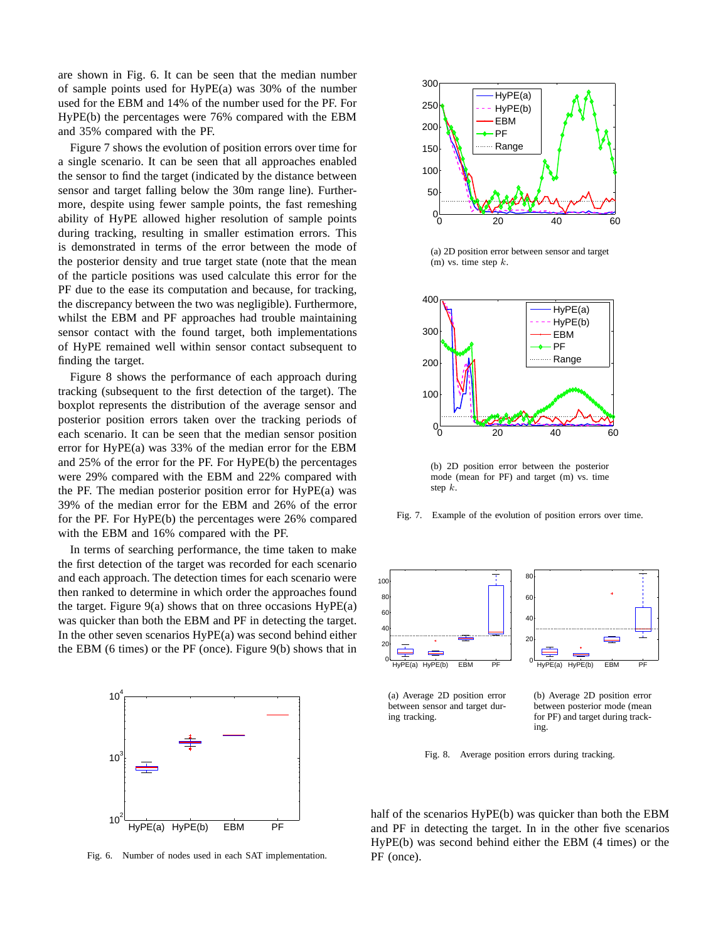are shown in Fig. 6. It can be seen that the median number of sample points used for HyPE(a) was 30% of the number used for the EBM and 14% of the number used for the PF. For HyPE(b) the percentages were 76% compared with the EBM and 35% compared with the PF.

Figure 7 shows the evolution of position errors over time for a single scenario. It can be seen that all approaches enabled the sensor to find the target (indicated by the distance between sensor and target falling below the 30m range line). Furthermore, despite using fewer sample points, the fast remeshing ability of HyPE allowed higher resolution of sample points during tracking, resulting in smaller estimation errors. This is demonstrated in terms of the error between the mode of the posterior density and true target state (note that the mean of the particle positions was used calculate this error for the PF due to the ease its computation and because, for tracking, the discrepancy between the two was negligible). Furthermore, whilst the EBM and PF approaches had trouble maintaining sensor contact with the found target, both implementations of HyPE remained well within sensor contact subsequent to finding the target.

Figure 8 shows the performance of each approach during tracking (subsequent to the first detection of the target). The boxplot represents the distribution of the average sensor and posterior position errors taken over the tracking periods of each scenario. It can be seen that the median sensor position error for HyPE(a) was 33% of the median error for the EBM and 25% of the error for the PF. For HyPE(b) the percentages were 29% compared with the EBM and 22% compared with the PF. The median posterior position error for HyPE(a) was 39% of the median error for the EBM and 26% of the error for the PF. For HyPE(b) the percentages were 26% compared with the EBM and 16% compared with the PF.

In terms of searching performance, the time taken to make the first detection of the target was recorded for each scenario and each approach. The detection times for each scenario were then ranked to determine in which order the approaches found the target. Figure  $9(a)$  shows that on three occasions  $HyPE(a)$ was quicker than both the EBM and PF in detecting the target. In the other seven scenarios HyPE(a) was second behind either the EBM (6 times) or the PF (once). Figure 9(b) shows that in



Fig. 6. Number of nodes used in each SAT implementation.



(a) 2D position error between sensor and target  $(m)$  vs. time step k.



(b) 2D position error between the posterior mode (mean for PF) and target (m) vs. time step k.

Fig. 7. Example of the evolution of position errors over time.



(a) Average 2D position error between sensor and target during tracking.

(b) Average 2D position error between posterior mode (mean for PF) and target during tracking.

Fig. 8. Average position errors during tracking.

half of the scenarios HyPE(b) was quicker than both the EBM and PF in detecting the target. In in the other five scenarios HyPE(b) was second behind either the EBM (4 times) or the PF (once).